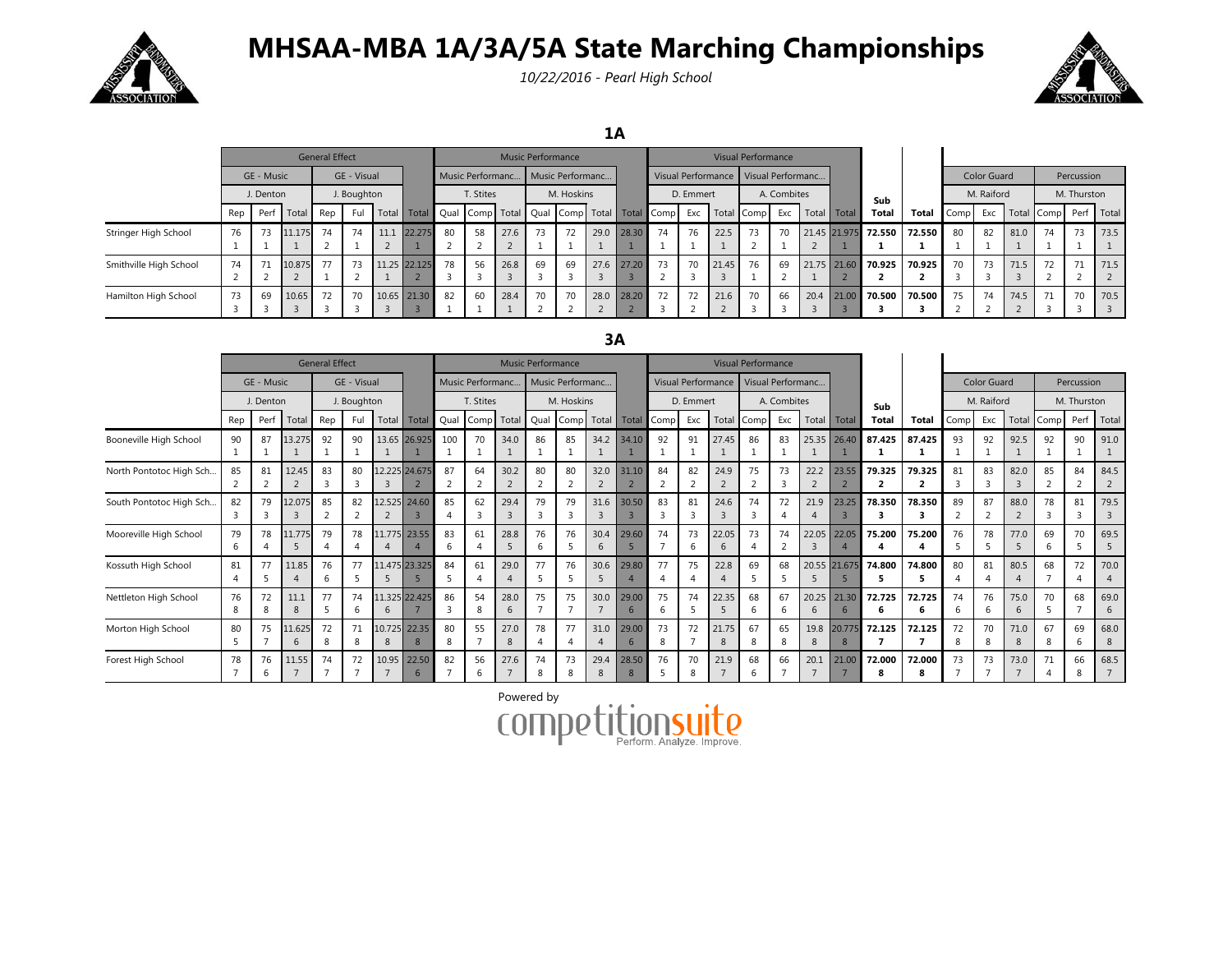

## **MHSAA-MBA 1A/3A/5A State Marching Championships**

*10/22/2016 - Pearl High School*



**1A**

|                        |           |            |        | <b>General Effect</b> |     |  |              | <b>Music Performance</b> |                         |      |                  |    |      |       |                                            |     |       | <b>Visual Performance</b> |    |             |             |                     |        |      |                    |      |                  |             |            |
|------------------------|-----------|------------|--------|-----------------------|-----|--|--------------|--------------------------|-------------------------|------|------------------|----|------|-------|--------------------------------------------|-----|-------|---------------------------|----|-------------|-------------|---------------------|--------|------|--------------------|------|------------------|-------------|------------|
|                        |           | GE - Music |        | GE - Visual           |     |  |              |                          | <b>Music Performanc</b> |      | Music Performanc |    |      |       | Visual Performance   Visual Performanc     |     |       |                           |    |             |             |                     |        |      | <b>Color Guard</b> |      | Percussion       |             |            |
|                        | J. Denton |            |        | J. Boughton           |     |  |              | T. Stites                |                         |      | M. Hoskins       |    |      |       | D. Emmert                                  |     |       | A. Combites               |    |             |             | Sub                 |        |      | M. Raiford         |      |                  | M. Thurston |            |
|                        | Rep       | Perf       | Total  | Rep                   | Ful |  | Total Total  |                          |                         |      |                  |    |      |       | Qual Comp Total Qual Comp Total Total Comp | Exc |       | Total Comp Exc            |    | Total Total |             | Total               | Total  | Comp |                    |      | Exc   Total Comp |             | Perf Total |
| Stringer High School   | 76        | 73         | 11.175 | 74<br>- 0             | 74  |  | 11.1 22.275  | 80<br>$\sim$             | 58                      | 27.6 | 73               | 72 | 29.0 | 28.30 | 74                                         | 76  | 22.5  | 73                        | 70 |             |             | 21.45 21.975 72.550 | 72.550 | 80   | 82                 | 81.0 | 74               | 73          | 73.5       |
| Smithville High School | 74        | 71         | 10.875 | 77                    | 73  |  | 11.25 22.125 | 78                       | 56                      | 26.8 | 69               | 69 | 27.6 | 27.20 | 73                                         | 70  | 21.45 | 76                        | 69 |             | 21.75 21.60 | 70.925              | 70.925 | 70   | 73                 | 71.5 | 72               | 71          | 71.5       |
| Hamilton High School   | 73        | 69         | 10.65  | 72                    | 70  |  | 10.65 21.30  | 82                       | 60                      | 28.4 | 70               | 70 | 28.0 | 28.20 | 72                                         | 72  | 21.6  | 70                        | 66 | 20.4        | 21.00       | 70.500              | 70.500 | 75   | 74                 | 74.5 | 71               | 70          | 70.5       |

## **3A**

|                         | <b>General Effect</b>     |      |             |             |         |       |               |                   | <b>Music Performance</b> |           |                  |         |                                  |                                         |           |         | Visual Performance     |             |         |            |             |        |              |            |            |           |             |                      |           |
|-------------------------|---------------------------|------|-------------|-------------|---------|-------|---------------|-------------------|--------------------------|-----------|------------------|---------|----------------------------------|-----------------------------------------|-----------|---------|------------------------|-------------|---------|------------|-------------|--------|--------------|------------|------------|-----------|-------------|----------------------|-----------|
|                         | GE - Music<br>GE - Visual |      |             |             |         |       |               | Music Performanc. |                          |           | Music Performanc |         |                                  | Visual Performance<br>Visual Performanc |           |         |                        |             |         |            |             |        | Color Guard  |            | Percussion |           |             |                      |           |
|                         | J. Denton                 |      |             | J. Boughton |         |       |               | T. Stites         |                          |           | M. Hoskins       |         |                                  |                                         | D. Emmert |         |                        | A. Combites |         |            |             | Sub    |              | M. Raiford |            |           | M. Thurston |                      |           |
|                         | Rep                       | Perf | Total       | Rep         | Ful     | Total | Total         | Qual              | Comp Total               |           | Qual             | Comp    |                                  | Total Total Comp                        |           | Exc     | Total                  | Comp        | Exc     | Total      | Total       | Total  | <b>Total</b> | Comp       | Exc        | Total     | Comp        | Perf                 | Total     |
| Booneville High School  | 90                        | 87   | 13.275      | 92          | 90      |       | 13.65 26.925  | 100               | 70                       | 34.0      | 86               | 85      |                                  | 34.2 34.10                              | 92        | 91      | 27.45<br>$\mathbf{1}$  | 86          | 83      | 25.35      | 26.40       | 87.425 | 87.425       | 93         | 92         | 92.5      | 92          | 90<br>$\mathbf{1}$   | 91.0      |
| North Pontotoc High Sch | 85                        | 81   | 12.45       | 83          | 80      |       | 12.225 24.675 | 87                | 64                       | 30.2      | 80               | 80      | 32.0                             | 31.10                                   | 84        | 82      | 24.9<br>2              | 75          | 73      | 22.2<br>2  | 23.55       | 79.325 | 79.325<br>2  | 81         | 83         | 82.0      | 85          | 84<br>$\overline{2}$ | 84.5<br>2 |
| South Pontotoc High Sch | 82                        | 79   | 12.075      | 85          | 82      |       | 12.525 24.60  | 85                | 62                       | 29.4      | 79               | 79      | 31.6                             | 30.50                                   | 83        | 81      | 24.6<br>$\overline{3}$ | 74<br>3     | 72      | 21.9       | 23.25       | 78.350 | 78.350       | 89         | 87         | 88.0      | 78          | 81<br>3              | 79.5      |
| Mooreville High School  | 79<br>h                   | 78   | 11.775      | 79          | 78      |       | 11.775 23.55  | 83<br>6           | 61                       | 28.8      | 76               | 76      | 30.4<br>6                        | 29.60                                   | 74        | 73<br>6 | 22.05<br>6             | 73          | 74      | 22.05      | 22.05       | 75.200 | 75.200       | 76         | 78         | 77.0      | 69          | 70                   | 69.5      |
| Kossuth High School     | 81                        | 77   | 11.85       | 76          | 77      |       | 11.475 23.325 | 84                | 61                       | 29.0      | 77               | 76      | 30.6                             | 29.80                                   | 77        | 75      | 22.8<br>$\overline{4}$ | 69          | 68      | 20.55      | 21.675      | 74.800 | 74.800       | 80         | 81         | 80.5      | 68          | 72<br>4              | 70.0<br>4 |
| Nettleton High School   | 76<br>8                   | 72   | 11.1<br>8   | 77          | 74<br>h | 6     | 11.325 22.425 | 86<br>3           | 54<br>8                  | 28.0      | 75               | 75      | 30.0<br>$\overline{\phantom{a}}$ | 29.00                                   | 75<br>6   | 74      | 22.35<br>5             | 68<br>6     | 67<br>6 | 20.25<br>6 | 21.30<br>6  | 72.725 | 72.725       | 74<br>6    | 76<br>6    | 75.0<br>6 | 70          | 68                   | 69.0<br>6 |
| Morton High School      | 80<br>5                   | 75   | 11.625<br>6 | 72          | 71<br>8 | 8     | 10.725 22.35  | 80<br>8           | 55                       | 27.0<br>8 | 78               | 77      | 31.0                             | 29.00                                   | 73<br>8   | 72      | 21.75<br>8             | 67<br>8     | 65<br>8 | 19.8<br>8  | 20.775<br>8 | 72.125 | 72.125       | 72<br>8    | 70<br>8    | 71.0      | 67          | 69<br>6              | 68.0<br>8 |
| Forest High School      | 78                        | 76   | 11.55       | 74          | 72      |       | 10.95 22.50   | 82                | 56<br>h                  | 27.6      | 74               | 73<br>8 | 29.4                             | 28.50                                   | 76        | 70<br>8 | 21.9<br>$\overline{7}$ | 68<br>h     | 66      | 20.1       | 21.00       | 72.000 | 72.000       | 73         | 73         | 73.0      | 71          | 66<br>8              | 68.5      |

Powered by**COMP** Perform. Analyze. Improve

D.